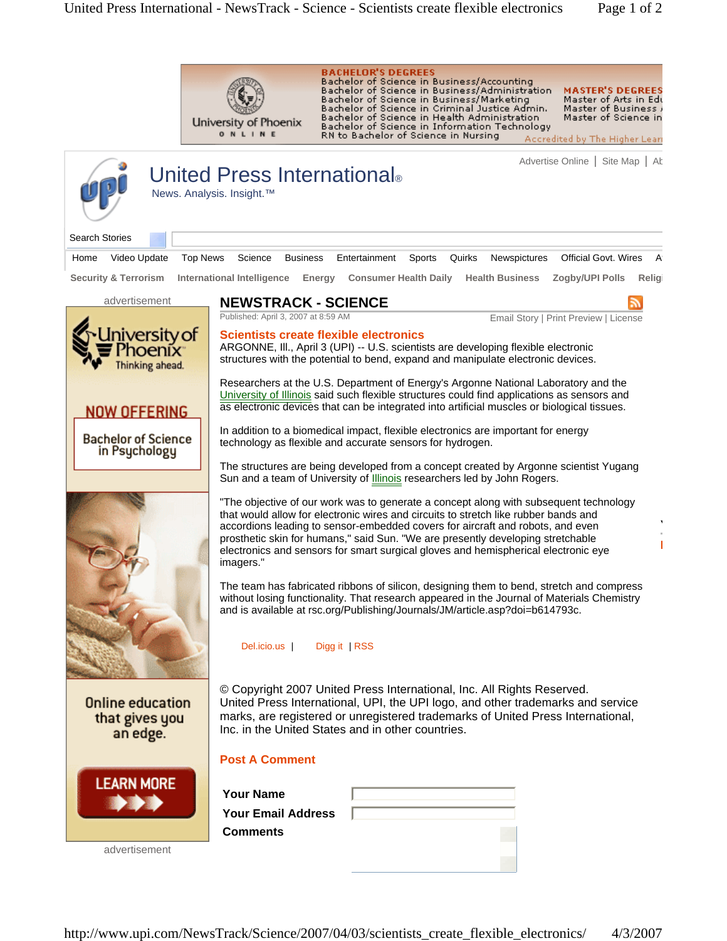